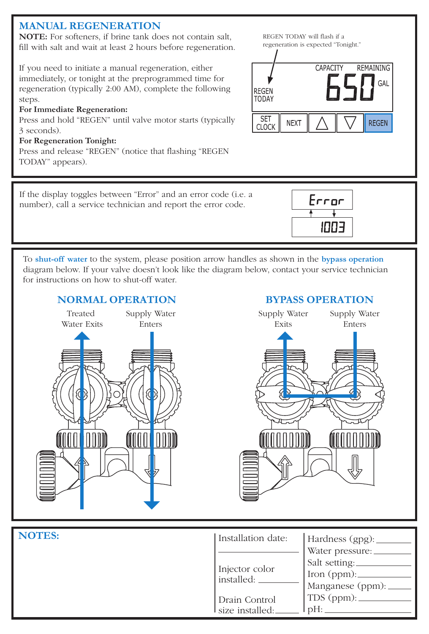# **MANUAL REGENERATION**

**NOTE:** For softeners, if brine tank does not contain salt, fill with salt and wait at least 2 hours before regeneration.

If you need to initiate a manual regeneration, either immediately, or tonight at the preprogrammed time for regeneration (typically 2:00 AM), complete the following steps.

#### **For Immediate Regeneration:**

Press and hold "REGEN" until valve motor starts (typically 3 seconds).

#### **For Regeneration Tonight:**

Press and release "REGEN" (notice that flashing "REGEN TODAY" appears).



If the display toggles between "Error" and an error code (i.e. a number), call a service technician and report the error code.



To **shut-off water** to the system, please position arrow handles as shown in the **bypass operation** diagram below. If your valve doesn't look like the diagram below, contact your service technician for instructions on how to shut-off water.

### **NORMAL OPERATION**



## **BYPASS OPERATION**



| NOTES: | Installation date: | Hardness $(gpg)$ :    |
|--------|--------------------|-----------------------|
|        |                    | Water pressure:       |
|        | Injector color     | Salt setting:         |
|        | installed:         |                       |
|        |                    | Manganese (ppm): $\_$ |
|        | Drain Control      |                       |
|        | size installed:    | $\mu_{\text{pH}:}$    |